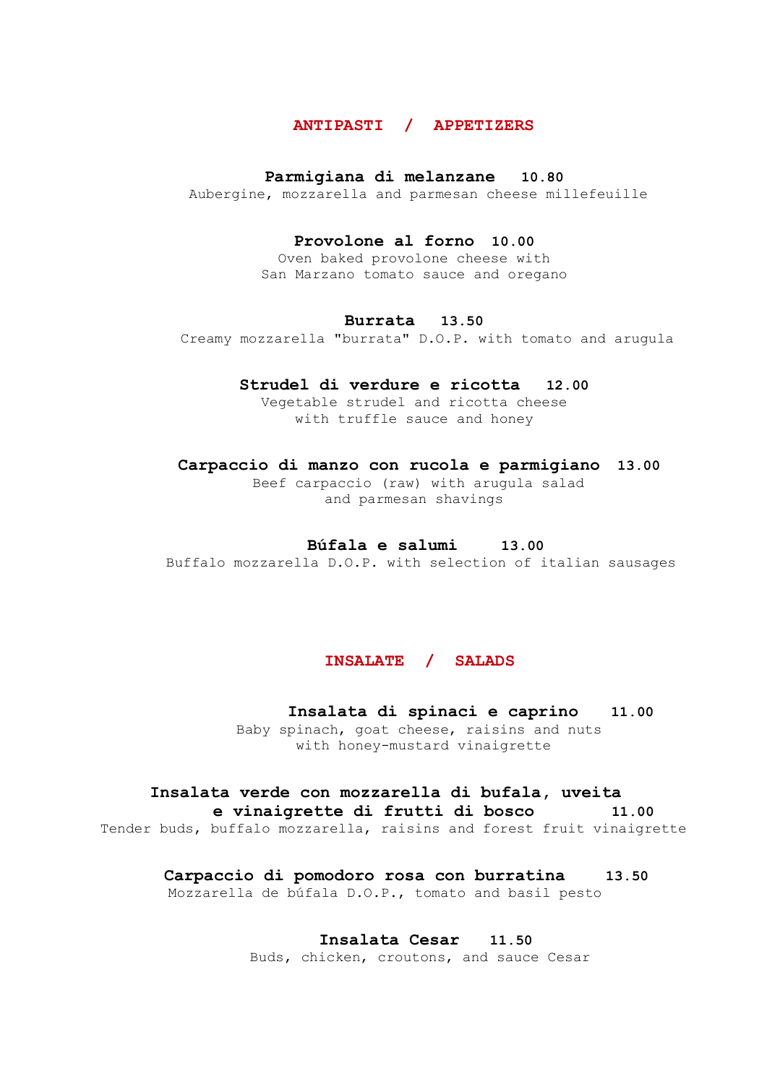## **ANTIPASTI / APPETIZERS**

#### **Parmigiana di melanzane 10.80**

Aubergine, mozzarella and parmesan cheese millefeuille

#### **Provolone al forno 10.00**

Oven baked provolone cheese with San Marzano tomato sauce and oregano

#### **Burrata 13.50**

Creamy mozzarella "burrata" D.O.P. with tomato and arugula

## **Strudel di verdure e ricotta 12.00**

Vegetable strudel and ricotta cheese with truffle sauce and honey

#### **Carpaccio di manzo con rucola e parmigiano 13.00**

Beef carpaccio (raw) with arugula salad and parmesan shavings

## **Búfala e salumi 13.00**

Buffalo mozzarella D.O.P. with selection of italian sausages

## **INSALATE / SALADS**

#### **Insalata di spinaci e caprino 11.00**

 Baby spinach, goat cheese, raisins and nuts with honey-mustard vinaigrette

## **Insalata verde con mozzarella di bufala, uveita**

# **e vinaigrette di frutti di bosco 11.00**

Tender buds, buffalo mozzarella, raisins and forest fruit vinaigrette

## **Carpaccio di pomodoro rosa con burratina 13.50**

# Mozzarella de búfala D.O.P., tomato and basil pesto

**Insalata Cesar 11.50**

Buds, chicken, croutons, and sauce Cesar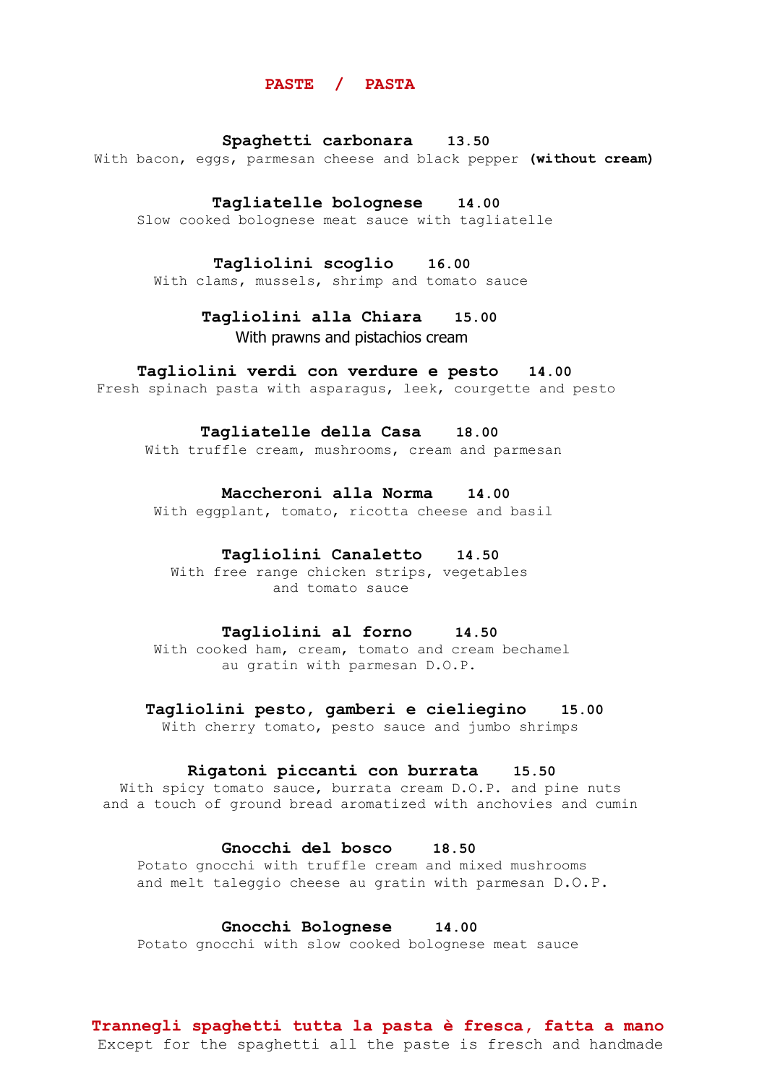#### **PASTE / PASTA**

#### **Spaghetti carbonara 13.50**

With bacon, eggs, parmesan cheese and black pepper **(without cream)**

#### **Tagliatelle bolognese 14.00**

Slow cooked bolognese meat sauce with tagliatelle

## **Tagliolini scoglio 16.00**

With clams, mussels, shrimp and tomato sauce

## **Tagliolini alla Chiara 15.00** With prawns and pistachios cream

#### **Tagliolini verdi con verdure e pesto 14.00**

Fresh spinach pasta with asparagus, leek, courgette and pesto

#### **Tagliatelle della Casa 18.00**

With truffle cream, mushrooms, cream and parmesan

## **Maccheroni alla Norma 14.00**

With eggplant, tomato, ricotta cheese and basil

## **Tagliolini Canaletto 14.50**

 With free range chicken strips, vegetables and tomato sauce

## **Tagliolini al forno 14.50**

With cooked ham, cream, tomato and cream bechamel au gratin with parmesan D.O.P.

#### **Tagliolini pesto, gamberi e cieliegino 15.00**

With cherry tomato, pesto sauce and jumbo shrimps

## **Rigatoni piccanti con burrata 15.50**

With spicy tomato sauce, burrata cream D.O.P. and pine nuts and a touch of ground bread aromatized with anchovies and cumin

## **Gnocchi del bosco 18.50**

Potato gnocchi with truffle cream and mixed mushrooms and melt taleggio cheese au gratin with parmesan D.O.P.

## **Gnocchi Bolognese 14.00**

Potato gnocchi with slow cooked bolognese meat sauce

## **Trannegli spaghetti tutta la pasta è fresca, fatta a mano** Except for the spaghetti all the paste is fresch and handmade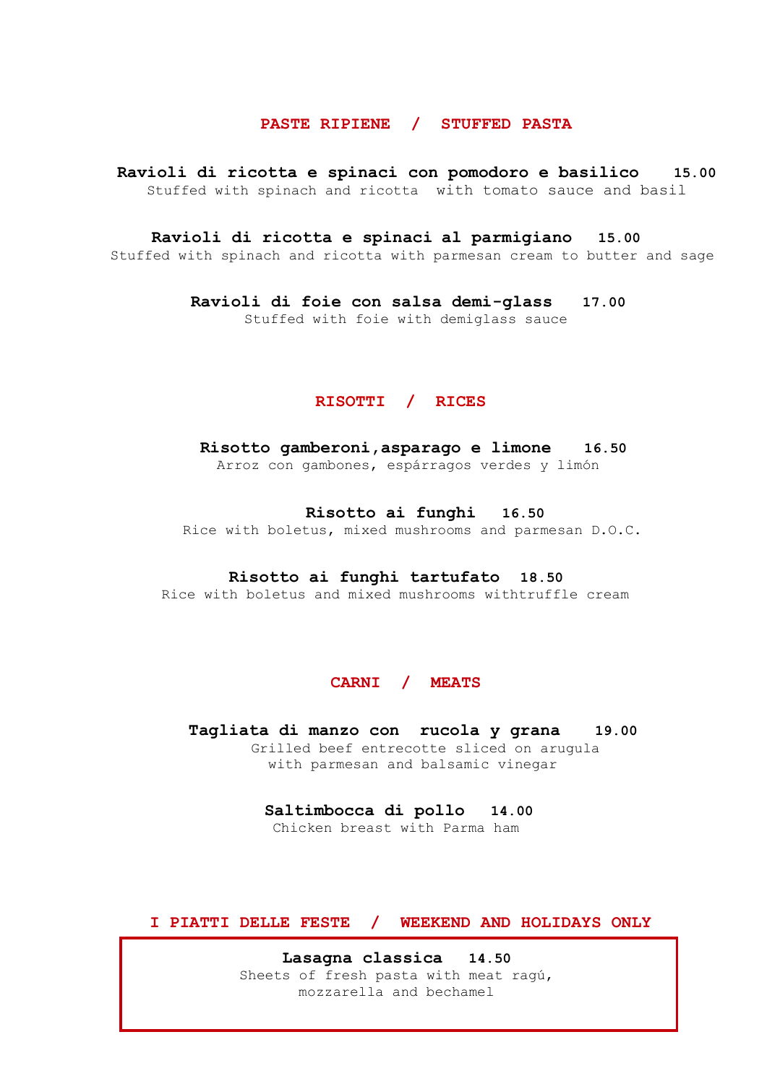## **PASTE RIPIENE / STUFFED PASTA**

 **Ravioli di ricotta e spinaci con pomodoro e basilico 15.00** Stuffed with spinach and ricotta with tomato sauce and basil

**Ravioli di ricotta e spinaci al parmigiano 15.00**

Stuffed with spinach and ricotta with parmesan cream to butter and sage

**Ravioli di foie con salsa demi-glass 17.00** Stuffed with foie with demiglass sauce

## **RISOTTI / RICES**

**Risotto gamberoni,asparago e limone 16.50**  Arroz con gambones, espárragos verdes y limón

 **Risotto ai funghi 16.50** 

Rice with boletus, mixed mushrooms and parmesan D.O.C.

#### **Risotto ai funghi tartufato 18.50**

Rice with boletus and mixed mushrooms withtruffle cream

## **CARNI / MEATS**

**Tagliata di manzo con rucola y grana 19.00**  Grilled beef entrecotte sliced on arugula with parmesan and balsamic vinegar

 **Saltimbocca di pollo 14.00**

Chicken breast with Parma ham

**I PIATTI DELLE FESTE / WEEKEND AND HOLIDAYS ONLY**

**Lasagna classica 14.50** Sheets of fresh pasta with meat ragú, mozzarella and bechamel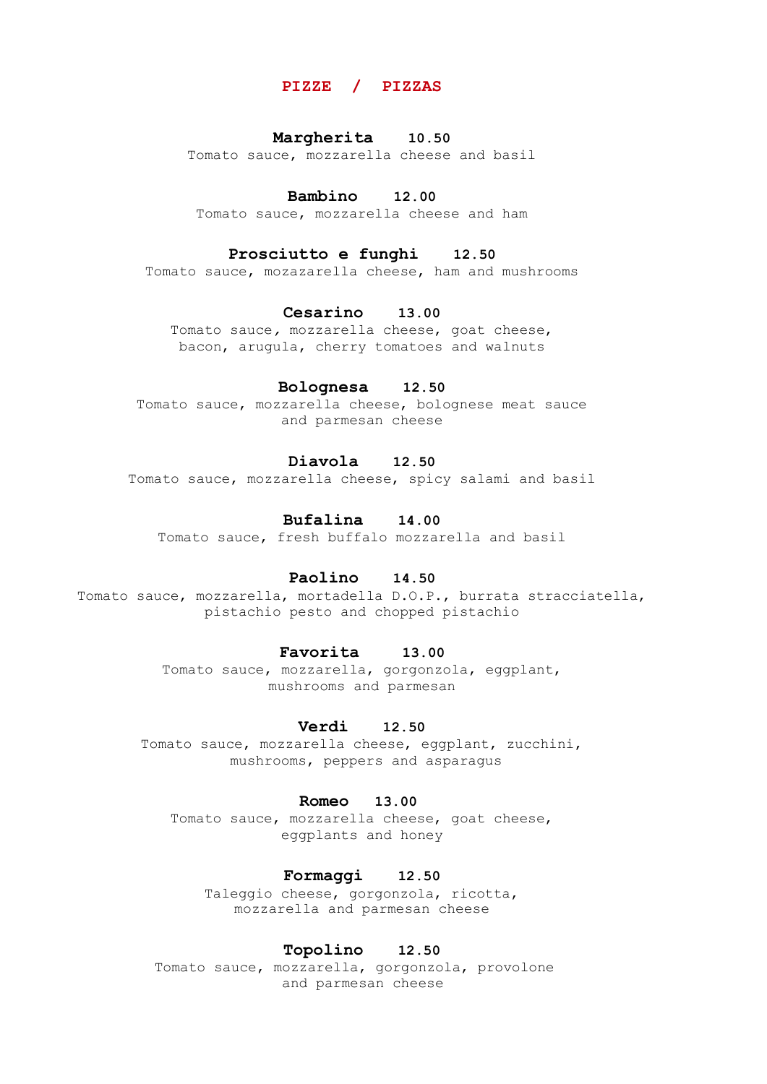## **PIZZE / PIZZAS**

## **Margherita 10.50**

Tomato sauce, mozzarella cheese and basil

## **Bambino 12.00**

Tomato sauce, mozzarella cheese and ham

## **Prosciutto e funghi 12.50**

Tomato sauce, mozazarella cheese, ham and mushrooms

## **Cesarino 13.00**

Tomato sauce*,* mozzarella cheese, goat cheese, bacon, arugula, cherry tomatoes and walnuts

## **Bolognesa 12.50**

Tomato sauce, mozzarella cheese, bolognese meat sauce and parmesan cheese

## **Diavola 12.50**

Tomato sauce, mozzarella cheese, spicy salami and basil

## **Bufalina 14.00**

Tomato sauce, fresh buffalo mozzarella and basil

## **Paolino 14.50**

Tomato sauce, mozzarella, mortadella D.O.P., burrata stracciatella, pistachio pesto and chopped pistachio

## **Favorita 13.00**

Tomato sauce, mozzarella, gorgonzola, eggplant, mushrooms and parmesan

#### **Verdi 12.50**

Tomato sauce, mozzarella cheese, eggplant, zucchini, mushrooms, peppers and asparagus

#### **Romeo 13.00**

Tomato sauce, mozzarella cheese, goat cheese, eggplants and honey

## **Formaggi 12.50**

Taleggio cheese, gorgonzola, ricotta, mozzarella and parmesan cheese

#### **Topolino 12.50**

Tomato sauce, mozzarella, gorgonzola, provoloneand parmesan cheese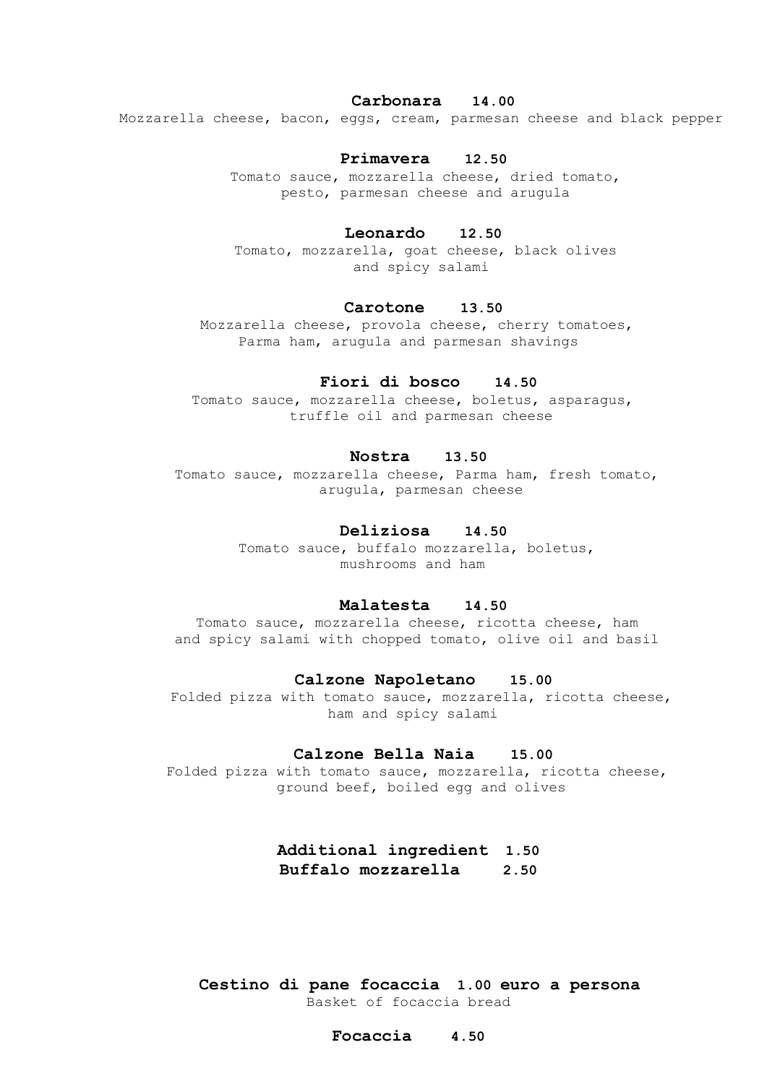#### **Carbonara 14.00**

Mozzarella cheese, bacon, eggs, cream, parmesan cheese and black pepper

#### **Primavera 12.50**

 Tomato sauce, mozzarella cheese, dried tomato, pesto, parmesan cheese and arugula

#### **Leonardo 12.50**

 Tomato, mozzarella, goat cheese, black olives and spicy salami

## **Carotone 13.50**

 Mozzarella cheese, provola cheese, cherry tomatoes, Parma ham, arugula and parmesan shavings

## **Fiori di bosco 14.50**

Tomato sauce, mozzarella cheese, boletus, asparagus, truffle oil and parmesan cheese

## **Nostra 13.50**

 Tomato sauce, mozzarella cheese, Parma ham, fresh tomato, arugula, parmesan cheese

## **Deliziosa 14.50**

 Tomato sauce, buffalo mozzarella, boletus, mushrooms and ham

#### **Malatesta 14.50**

 Tomato sauce, mozzarella cheese, ricotta cheese, ham and spicy salami with chopped tomato, olive oil and basil

#### **Calzone Napoletano 15.00**

 Folded pizza with tomato sauce, mozzarella, ricotta cheese, ham and spicy salami

#### **Calzone Bella Naia 15.00**

 Folded pizza with tomato sauce, mozzarella, ricotta cheese, ground beef, boiled egg and olives

> **Additional ingredient 1.50 Buffalo mozzarella 2.50**

**Cestino di pane focaccia 1.00 euro a persona** Basket of focaccia bread